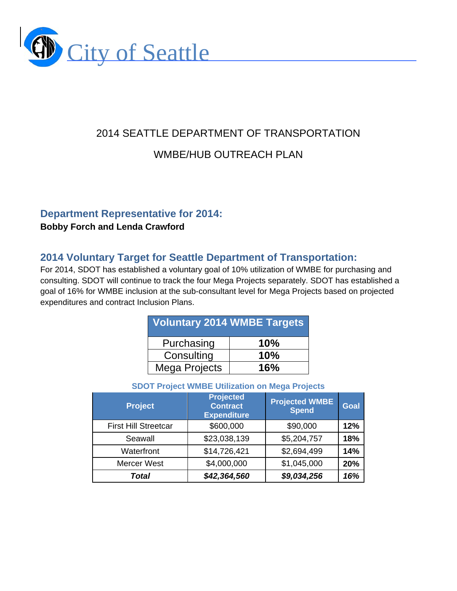

# 2014 SEATTLE DEPARTMENT OF TRANSPORTATION WMBE/HUB OUTREACH PLAN

## **Department Representative for 2014:**

#### **Bobby Forch and Lenda Crawford**

# **2014 Voluntary Target for Seattle Department of Transportation:**

For 2014, SDOT has established a voluntary goal of 10% utilization of WMBE for purchasing and consulting. SDOT will continue to track the four Mega Projects separately. SDOT has established a goal of 16% for WMBE inclusion at the sub-consultant level for Mega Projects based on projected expenditures and contract Inclusion Plans.

| <b>Voluntary 2014 WMBE Targets</b> |     |  |  |
|------------------------------------|-----|--|--|
| Purchasing                         | 10% |  |  |
| Consulting                         | 10% |  |  |
| Mega Projects                      | 16% |  |  |

#### **SDOT Project WMBE Utilization on Mega Projects**

| <b>Project</b>              | <b>Projected</b><br><b>Contract</b><br><b>Expenditure</b> | <b>Projected WMBE</b><br><b>Spend</b> | Goal |
|-----------------------------|-----------------------------------------------------------|---------------------------------------|------|
| <b>First Hill Streetcar</b> | \$600,000                                                 | \$90,000                              | 12%  |
| Seawall                     | \$23,038,139                                              | \$5,204,757                           | 18%  |
| Waterfront                  | \$14,726,421                                              | \$2,694,499                           | 14%  |
| <b>Mercer West</b>          | \$4,000,000                                               | \$1,045,000                           | 20%  |
| Total                       | \$42,364,560                                              | \$9,034,256                           | 16%  |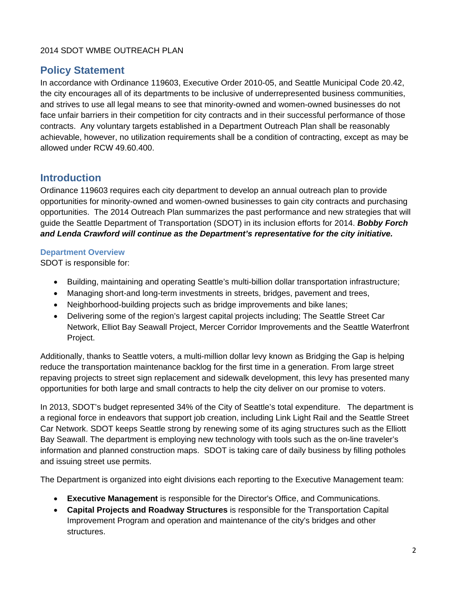# **Policy Statement**

In accordance with Ordinance 119603, Executive Order 2010-05, and Seattle Municipal Code 20.42, the city encourages all of its departments to be inclusive of underrepresented business communities, and strives to use all legal means to see that minority-owned and women-owned businesses do not face unfair barriers in their competition for city contracts and in their successful performance of those contracts. Any voluntary targets established in a Department Outreach Plan shall be reasonably achievable, however, no utilization requirements shall be a condition of contracting, except as may be allowed under RCW 49.60.400.

# **Introduction**

Ordinance 119603 requires each city department to develop an annual outreach plan to provide opportunities for minority-owned and women-owned businesses to gain city contracts and purchasing opportunities. The 2014 Outreach Plan summarizes the past performance and new strategies that will guide the Seattle Department of Transportation (SDOT) in its inclusion efforts for 2014. *Bobby Forch and Lenda Crawford will continue as the Department's representative for the city initiative.* 

#### **Department Overview**

SDOT is responsible for:

- Building, maintaining and operating Seattle's multi-billion dollar transportation infrastructure;
- Managing short-and long-term investments in streets, bridges, pavement and trees,
- Neighborhood-building projects such as bridge improvements and bike lanes;
- Delivering some of the region's largest capital projects including; The Seattle Street Car Network, Elliot Bay Seawall Project, Mercer Corridor Improvements and the Seattle Waterfront Project.

Additionally, thanks to Seattle voters, a multi-million dollar levy known as Bridging the Gap is helping reduce the transportation maintenance backlog for the first time in a generation. From large street repaving projects to street sign replacement and sidewalk development, this levy has presented many opportunities for both large and small contracts to help the city deliver on our promise to voters.

In 2013, SDOT's budget represented 34% of the City of Seattle's total expenditure. The department is a regional force in endeavors that support job creation, including Link Light Rail and the Seattle Street Car Network. SDOT keeps Seattle strong by renewing some of its aging structures such as the Elliott Bay Seawall. The department is employing new technology with tools such as the on-line traveler's information and planned construction maps. SDOT is taking care of daily business by filling potholes and issuing street use permits.

The Department is organized into eight divisions each reporting to the Executive Management team:

- **Executive Management** is responsible for the Director's Office, and Communications.
- **Capital Projects and Roadway Structures** is responsible for the Transportation Capital Improvement Program and operation and maintenance of the city's bridges and other structures.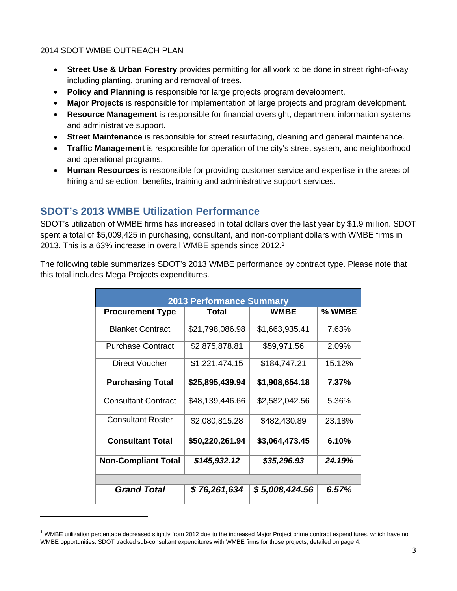- **Street Use & Urban Forestry** provides permitting for all work to be done in street right-of-way including planting, pruning and removal of trees.
- **Policy and Planning** is responsible for large projects program development.
- **Major Projects** is responsible for implementation of large projects and program development.
- **Resource Management** is responsible for financial oversight, department information systems and administrative support.
- **Street Maintenance** is responsible for street resurfacing, cleaning and general maintenance.
- **Traffic Management** is responsible for operation of the city's street system, and neighborhood and operational programs.
- **Human Resources** is responsible for providing customer service and expertise in the areas of hiring and selection, benefits, training and administrative support services.

# **SDOT's 2013 WMBE Utilization Performance**

SDOT's utilization of WMBE firms has increased in total dollars over the last year by \$1.9 million. SDOT spent a total of \$5,009,425 in purchasing, consultant, and non-compliant dollars with WMBE firms in 2013. This is a 63% increase in overall WMBE spends since 2012.1

The following table summarizes SDOT's 2013 WMBE performance by contract type. Please note that this total includes Mega Projects expenditures.

| <b>2013 Performance Summary</b> |                 |                |        |  |  |
|---------------------------------|-----------------|----------------|--------|--|--|
| <b>Procurement Type</b>         | Total           | WMBE           | % WMBE |  |  |
| <b>Blanket Contract</b>         | \$21,798,086.98 | \$1,663,935.41 | 7.63%  |  |  |
| <b>Purchase Contract</b>        | \$2,875,878.81  | \$59,971.56    | 2.09%  |  |  |
| Direct Voucher                  | \$1,221,474.15  | \$184,747.21   | 15.12% |  |  |
| <b>Purchasing Total</b>         | \$25,895,439.94 | \$1,908,654.18 | 7.37%  |  |  |
| <b>Consultant Contract</b>      | \$48,139,446.66 | \$2,582,042.56 | 5.36%  |  |  |
| <b>Consultant Roster</b>        | \$2,080,815.28  | \$482,430.89   | 23.18% |  |  |
| <b>Consultant Total</b>         | \$50,220,261.94 | \$3,064,473.45 | 6.10%  |  |  |
| <b>Non-Compliant Total</b>      | \$145,932.12    | \$35,296.93    | 24.19% |  |  |
|                                 |                 |                |        |  |  |
| <b>Grand Total</b>              | \$76,261,634    | \$5,008,424.56 | 6.57%  |  |  |

 $1$  WMBE utilization percentage decreased slightly from 2012 due to the increased Major Project prime contract expenditures, which have no WMBE opportunities. SDOT tracked sub-consultant expenditures with WMBE firms for those projects, detailed on page 4.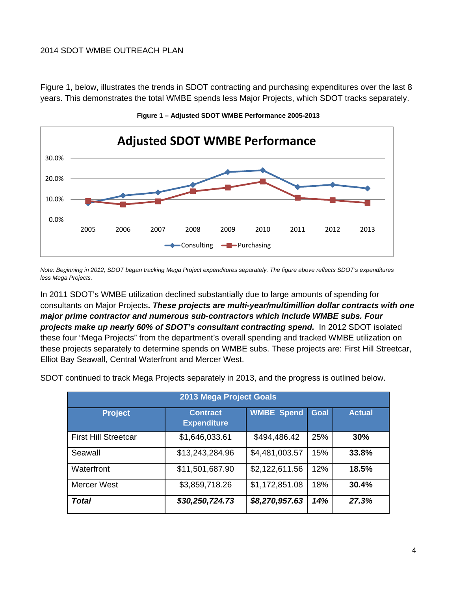Figure 1, below, illustrates the trends in SDOT contracting and purchasing expenditures over the last 8 years. This demonstrates the total WMBE spends less Major Projects, which SDOT tracks separately.





*Note: Beginning in 2012, SDOT began tracking Mega Project expenditures separately. The figure above reflects SDOT's expenditures less Mega Projects.* 

In 2011 SDOT's WMBE utilization declined substantially due to large amounts of spending for consultants on Major Projects**.** *These projects are multi-year/multimillion dollar contracts with one major prime contractor and numerous sub-contractors which include WMBE subs. Four projects make up nearly 60% of SDOT's consultant contracting spend.* In 2012 SDOT isolated these four "Mega Projects" from the department's overall spending and tracked WMBE utilization on these projects separately to determine spends on WMBE subs. These projects are: First Hill Streetcar, Elliot Bay Seawall, Central Waterfront and Mercer West.

|  |  |  |  |  |  | SDOT continued to track Mega Projects separately in 2013, and the progress is outlined below. |
|--|--|--|--|--|--|-----------------------------------------------------------------------------------------------|
|--|--|--|--|--|--|-----------------------------------------------------------------------------------------------|

| 2013 Mega Project Goals     |                                       |                   |             |               |  |
|-----------------------------|---------------------------------------|-------------------|-------------|---------------|--|
| <b>Project</b>              | <b>Contract</b><br><b>Expenditure</b> | <b>WMBE Spend</b> | <b>Goal</b> | <b>Actual</b> |  |
| <b>First Hill Streetcar</b> | \$1,646,033.61                        | \$494,486.42      | 25%         | 30%           |  |
| Seawall                     | \$13,243,284.96                       | \$4,481,003.57    | 15%         | 33.8%         |  |
| Waterfront                  | \$11,501,687.90                       | \$2,122,611.56    | 12%         | 18.5%         |  |
| <b>Mercer West</b>          | \$3,859,718.26                        | \$1,172,851.08    | 18%         | 30.4%         |  |
| Total                       | \$30,250,724.73                       | \$8,270,957.63    | 14%         | 27.3%         |  |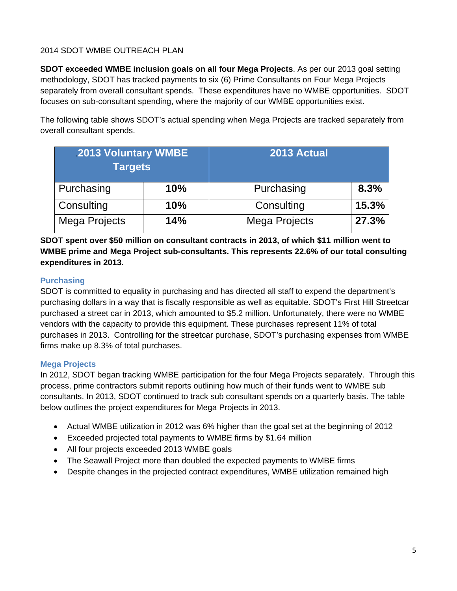**SDOT exceeded WMBE inclusion goals on all four Mega Projects**. As per our 2013 goal setting methodology, SDOT has tracked payments to six (6) Prime Consultants on Four Mega Projects separately from overall consultant spends. These expenditures have no WMBE opportunities. SDOT focuses on sub-consultant spending, where the majority of our WMBE opportunities exist.

The following table shows SDOT's actual spending when Mega Projects are tracked separately from overall consultant spends.

| <b>2013 Voluntary WMBE</b><br><b>Targets</b> |     | 2013 Actual   |       |
|----------------------------------------------|-----|---------------|-------|
| Purchasing                                   | 10% | Purchasing    | 8.3%  |
| Consulting                                   | 10% | Consulting    | 15.3% |
| Mega Projects                                | 14% | Mega Projects | 27.3% |

**SDOT spent over \$50 million on consultant contracts in 2013, of which \$11 million went to WMBE prime and Mega Project sub-consultants. This represents 22.6% of our total consulting expenditures in 2013.** 

#### **Purchasing**

SDOT is committed to equality in purchasing and has directed all staff to expend the department's purchasing dollars in a way that is fiscally responsible as well as equitable. SDOT's First Hill Streetcar purchased a street car in 2013, which amounted to \$5.2 million**.** Unfortunately, there were no WMBE vendors with the capacity to provide this equipment. These purchases represent 11% of total purchases in 2013. Controlling for the streetcar purchase, SDOT's purchasing expenses from WMBE firms make up 8.3% of total purchases.

#### **Mega Projects**

In 2012, SDOT began tracking WMBE participation for the four Mega Projects separately. Through this process, prime contractors submit reports outlining how much of their funds went to WMBE sub consultants. In 2013, SDOT continued to track sub consultant spends on a quarterly basis. The table below outlines the project expenditures for Mega Projects in 2013.

- Actual WMBE utilization in 2012 was 6% higher than the goal set at the beginning of 2012
- Exceeded projected total payments to WMBE firms by \$1.64 million
- All four projects exceeded 2013 WMBE goals
- The Seawall Project more than doubled the expected payments to WMBE firms
- Despite changes in the projected contract expenditures, WMBE utilization remained high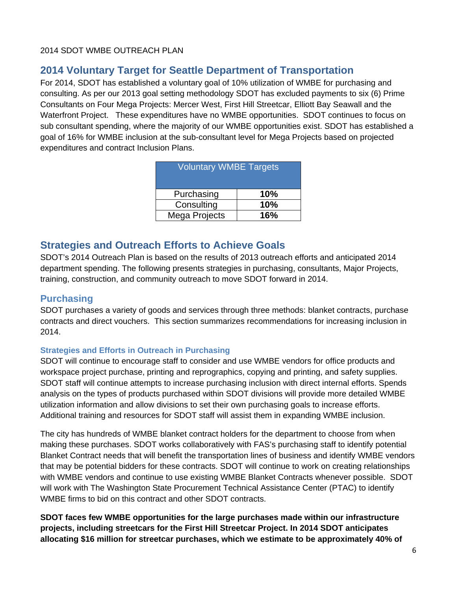# **2014 Voluntary Target for Seattle Department of Transportation**

For 2014, SDOT has established a voluntary goal of 10% utilization of WMBE for purchasing and consulting. As per our 2013 goal setting methodology SDOT has excluded payments to six (6) Prime Consultants on Four Mega Projects: Mercer West, First Hill Streetcar, Elliott Bay Seawall and the Waterfront Project. These expenditures have no WMBE opportunities. SDOT continues to focus on sub consultant spending, where the majority of our WMBE opportunities exist. SDOT has established a goal of 16% for WMBE inclusion at the sub-consultant level for Mega Projects based on projected expenditures and contract Inclusion Plans.

| <b>Voluntary WMBE Targets</b> |     |  |  |  |
|-------------------------------|-----|--|--|--|
| Purchasing                    | 10% |  |  |  |
| Consulting                    | 10% |  |  |  |
| Mega Projects                 | 16% |  |  |  |

# **Strategies and Outreach Efforts to Achieve Goals**

SDOT's 2014 Outreach Plan is based on the results of 2013 outreach efforts and anticipated 2014 department spending. The following presents strategies in purchasing, consultants, Major Projects, training, construction, and community outreach to move SDOT forward in 2014.

### **Purchasing**

SDOT purchases a variety of goods and services through three methods: blanket contracts, purchase contracts and direct vouchers. This section summarizes recommendations for increasing inclusion in 2014.

#### **Strategies and Efforts in Outreach in Purchasing**

SDOT will continue to encourage staff to consider and use WMBE vendors for office products and workspace project purchase, printing and reprographics, copying and printing, and safety supplies. SDOT staff will continue attempts to increase purchasing inclusion with direct internal efforts. Spends analysis on the types of products purchased within SDOT divisions will provide more detailed WMBE utilization information and allow divisions to set their own purchasing goals to increase efforts. Additional training and resources for SDOT staff will assist them in expanding WMBE inclusion.

The city has hundreds of WMBE blanket contract holders for the department to choose from when making these purchases. SDOT works collaboratively with FAS's purchasing staff to identify potential Blanket Contract needs that will benefit the transportation lines of business and identify WMBE vendors that may be potential bidders for these contracts. SDOT will continue to work on creating relationships with WMBE vendors and continue to use existing WMBE Blanket Contracts whenever possible. SDOT will work with The Washington State Procurement Technical Assistance Center (PTAC) to identify WMBE firms to bid on this contract and other SDOT contracts.

**SDOT faces few WMBE opportunities for the large purchases made within our infrastructure projects, including streetcars for the First Hill Streetcar Project. In 2014 SDOT anticipates allocating \$16 million for streetcar purchases, which we estimate to be approximately 40% of**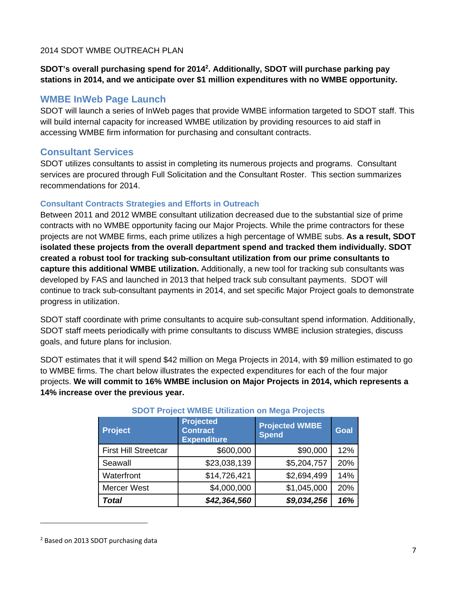#### SDOT's overall purchasing spend for 2014<sup>2</sup>. Additionally, SDOT will purchase parking pay **stations in 2014, and we anticipate over \$1 million expenditures with no WMBE opportunity.**

### **WMBE InWeb Page Launch**

SDOT will launch a series of InWeb pages that provide WMBE information targeted to SDOT staff. This will build internal capacity for increased WMBE utilization by providing resources to aid staff in accessing WMBE firm information for purchasing and consultant contracts.

## **Consultant Services**

SDOT utilizes consultants to assist in completing its numerous projects and programs. Consultant services are procured through Full Solicitation and the Consultant Roster. This section summarizes recommendations for 2014.

### **Consultant Contracts Strategies and Efforts in Outreach**

Between 2011 and 2012 WMBE consultant utilization decreased due to the substantial size of prime contracts with no WMBE opportunity facing our Major Projects. While the prime contractors for these projects are not WMBE firms, each prime utilizes a high percentage of WMBE subs. **As a result, SDOT isolated these projects from the overall department spend and tracked them individually. SDOT created a robust tool for tracking sub-consultant utilization from our prime consultants to capture this additional WMBE utilization.** Additionally, a new tool for tracking sub consultants was developed by FAS and launched in 2013 that helped track sub consultant payments. SDOT will continue to track sub-consultant payments in 2014, and set specific Major Project goals to demonstrate progress in utilization.

SDOT staff coordinate with prime consultants to acquire sub-consultant spend information. Additionally, SDOT staff meets periodically with prime consultants to discuss WMBE inclusion strategies, discuss goals, and future plans for inclusion.

SDOT estimates that it will spend \$42 million on Mega Projects in 2014, with \$9 million estimated to go to WMBE firms. The chart below illustrates the expected expenditures for each of the four major projects. **We will commit to 16% WMBE inclusion on Major Projects in 2014, which represents a 14% increase over the previous year.**

| <b>Project</b>              | <b>Projected</b><br><b>Contract</b><br><b>Expenditure</b> | <b>Projected WMBE</b><br><b>Spend</b> | <b>Goal</b> |
|-----------------------------|-----------------------------------------------------------|---------------------------------------|-------------|
| <b>First Hill Streetcar</b> | \$600,000                                                 | \$90,000                              | 12%         |
| Seawall                     | \$23,038,139                                              | \$5,204,757                           | 20%         |
| Waterfront                  | \$14,726,421                                              | \$2,694,499                           | 14%         |
| <b>Mercer West</b>          | \$4,000,000                                               | \$1,045,000                           | 20%         |
| <b>Total</b>                | \$42,364,560                                              | \$9,034,256                           | 16%         |

#### **SDOT Project WMBE Utilization on Mega Projects**

<sup>2</sup> Based on 2013 SDOT purchasing data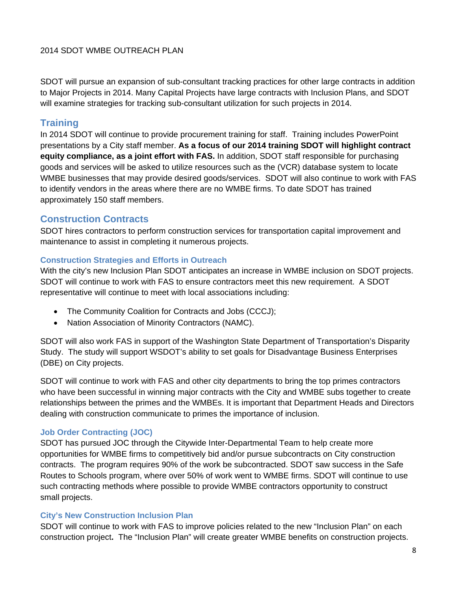SDOT will pursue an expansion of sub-consultant tracking practices for other large contracts in addition to Major Projects in 2014. Many Capital Projects have large contracts with Inclusion Plans, and SDOT will examine strategies for tracking sub-consultant utilization for such projects in 2014.

# **Training**

In 2014 SDOT will continue to provide procurement training for staff. Training includes PowerPoint presentations by a City staff member. **As a focus of our 2014 training SDOT will highlight contract equity compliance, as a joint effort with FAS.** In addition, SDOT staff responsible for purchasing goods and services will be asked to utilize resources such as the (VCR) database system to locate WMBE businesses that may provide desired goods/services. SDOT will also continue to work with FAS to identify vendors in the areas where there are no WMBE firms. To date SDOT has trained approximately 150 staff members.

# **Construction Contracts**

SDOT hires contractors to perform construction services for transportation capital improvement and maintenance to assist in completing it numerous projects.

#### **Construction Strategies and Efforts in Outreach**

With the city's new Inclusion Plan SDOT anticipates an increase in WMBE inclusion on SDOT projects. SDOT will continue to work with FAS to ensure contractors meet this new requirement. A SDOT representative will continue to meet with local associations including:

- The Community Coalition for Contracts and Jobs (CCCJ);
- Nation Association of Minority Contractors (NAMC).

SDOT will also work FAS in support of the Washington State Department of Transportation's Disparity Study. The study will support WSDOT's ability to set goals for Disadvantage Business Enterprises (DBE) on City projects.

SDOT will continue to work with FAS and other city departments to bring the top primes contractors who have been successful in winning major contracts with the City and WMBE subs together to create relationships between the primes and the WMBEs. It is important that Department Heads and Directors dealing with construction communicate to primes the importance of inclusion.

#### **Job Order Contracting (JOC)**

SDOT has pursued JOC through the Citywide Inter-Departmental Team to help create more opportunities for WMBE firms to competitively bid and/or pursue subcontracts on City construction contracts. The program requires 90% of the work be subcontracted. SDOT saw success in the Safe Routes to Schools program, where over 50% of work went to WMBE firms. SDOT will continue to use such contracting methods where possible to provide WMBE contractors opportunity to construct small projects.

#### **City's New Construction Inclusion Plan**

SDOT will continue to work with FAS to improve policies related to the new "Inclusion Plan" on each construction project**.** The "Inclusion Plan" will create greater WMBE benefits on construction projects.